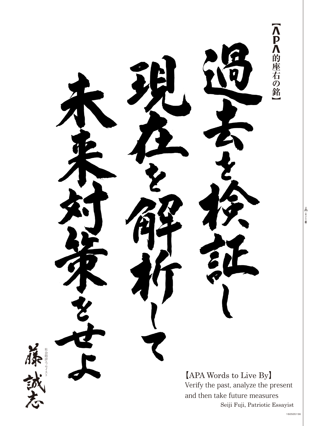

Seiji Fuji, Patriotic Essayist